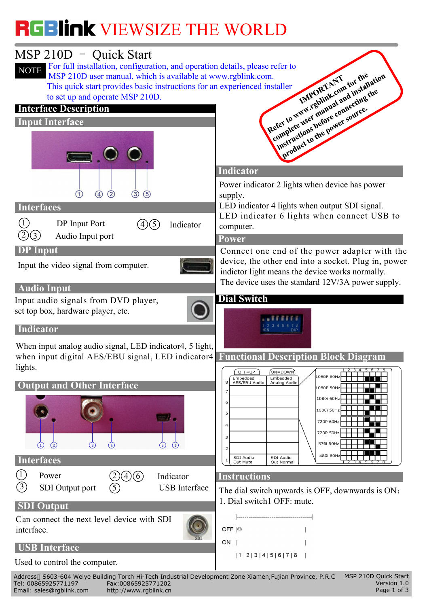

Email: sales@rgblink.com http://www.rgblink.cn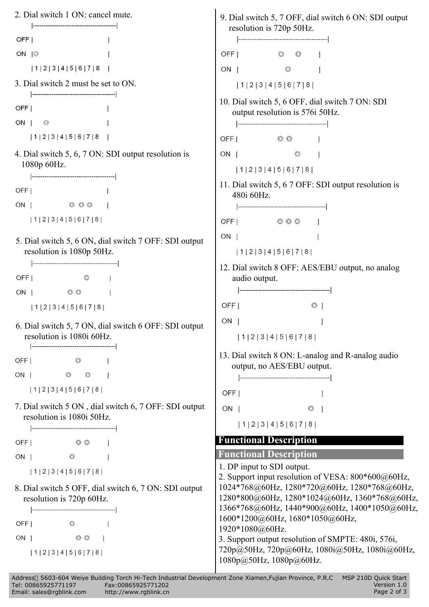OFF<sub>I</sub> ON 10 OFF I  $\odot$  $\odot$  $\overline{\phantom{a}}$  $|1|2|3|4|5|6|7|8$ ON |  $\circledcirc$  $\overline{1}$ 3. Dial switch 2 must be set to ON.  $|1|2|3|4|5|6|7|8|$ 10. Dial switch 5, 6 OFF, dial switch 7 ON: SDI OFF<sub>I</sub>  $\overline{1}$ output resolution is 576i 50Hz.  $ON \cup \emptyset$  $\mathbf{I}$  $|1|2|3|4|5|6|7|8$ OFFI © ©  $\overline{1}$ 4. Dial switch 5, 6, 7 ON: SDI output resolution is ON |  $\circledcirc$  $\overline{1}$ 1080p 60Hz.  $|1|2|3|4|5|6|7|8|$ 11. Dial switch 5, 6 7 OFF: SDI output resolution is OFF<sub>1</sub>  $\mathbf{I}$ 480i 60Hz. ON | 000 |  $|1|2|3|4|5|6|7|8|$ 5. Dial switch 5, 6 ON, dial switch 7 OFF: SDI output  $\begin{bmatrix} \text{ON} \\ \text{O} \text{N} \end{bmatrix}$  $\mathbf{I}$ resolution is 1080p 50Hz.  $|1|2|3|4|5|6|7|8|$ 12. Dial switch 8 OFF: AES/EBU output, no analog OFF<sub>I</sub>  $\circ$   $\qquad$ audio output.  $ON \quad | \quad \circledcirc$  $\Box$ OFF<sub>I</sub>  $\circ$  |  $|1|2|3|4|5|6|7|8|$ 6. Dial switch 5, 7 ON, dial switch 6 OFF: SDI output  $\begin{bmatrix} \text{ON} \\ \text{O} \text{N} \end{bmatrix}$  $\overline{1}$ resolution is 1080i 60Hz.  $|1|2|3|4|5|6|7|8|$ 13. Dial switch 8 ON: L-analog and R-analog audio OFF | © | output, no AES/EBU output. ON |  $\begin{array}{ccc} \circ & \circ & \circ & \circ \end{array}$  $|1|2|3|4|5|6|7|8|$ OFF |  $\mathbf{r}$ 7. Dial switch 5 ON, dial switch 6, 7 OFF: SDI output  $\vert$  ON  $\vert$  $\circ$  | resolution is 1080i 50Hz.  $|1|2|3|4|5|6|7|8|$ **Functional Description**  $\circ$   $\circ$   $\qquad$   $\qquad$ OFF<sub>I</sub> **Functional Description**  $\circ$   $\qquad$   $\qquad$   $\qquad$   $\qquad$   $\qquad$   $\qquad$   $\qquad$   $\qquad$   $\qquad$   $\qquad$   $\qquad$   $\qquad$   $\qquad$   $\qquad$   $\qquad$   $\qquad$   $\qquad$   $\qquad$   $\qquad$   $\qquad$   $\qquad$   $\qquad$   $\qquad$   $\qquad$   $\qquad$   $\qquad$   $\qquad$   $\qquad$   $\qquad$   $\qquad$   $\qquad$   $\qquad$   $\qquad$   $\qquad$   $\qquad$   $\qquad$  ON | 1. DP input to SDI output.  $|1|2|3|4|5|6|7|8|$ 2. Support input resolution of VESA: 800\*600@60Hz, 1024\*768@60Hz, 1280\*720@60Hz, 1280\*768@60Hz, 8. Dial switch 5 OFF, dial switch 6, 7 ON: SDI output 1280\*800@60Hz, 1280\*1024@60Hz, 1360\*768@60Hz, resolution is 720p 60Hz. 1366\*768@60Hz, 1440\*900@60Hz, 1400\*1050@60Hz, 1600\*1200@60Hz, 1680\*1050@60Hz, OFF |  $\circ$  $\sim$  1 1920\*1080@60Hz. ON |  $\circ$   $\circ$  $\pm$ 3. Support output resolution of SMPTE: 480i, 576i, 720p@50Hz, 720p@60Hz, 1080i@50Hz, 1080i@60Hz,  $|1|2|3|4|5|6|7|8|$ 1080p[@50Hz,](mailto:1080@60Hz.) 1080p@60Hz.